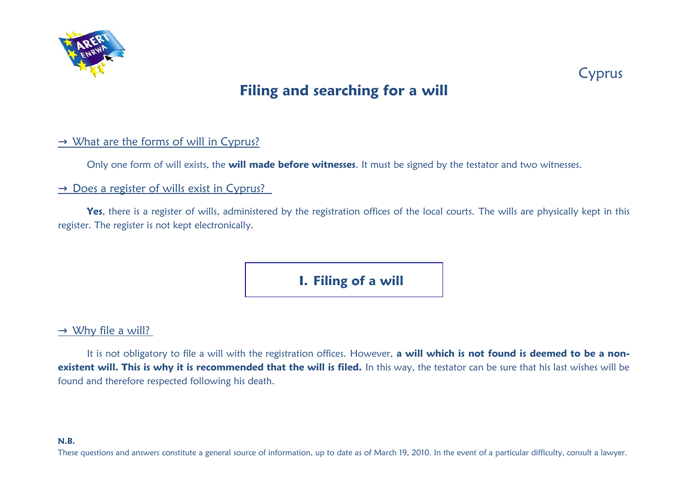



# **Filing and searching for a will**

## $\rightarrow$  What are the forms of will in Cyprus?

Only one form of will exists, the **will made before witnesses**. It must be signed by the testator and two witnesses.

 $\rightarrow$  Does a register of wills exist in Cyprus?

Yes, there is a register of wills, administered by the registration offices of the local courts. The wills are physically kept in this register. The register is not kept electronically.

**I. Filing of a will**

#### $\rightarrow$  Why file a will?

It is not obligatory to file a will with the registration offices. However, **a will which is not found is deemed to be a nonexistent will. This is why it is recommended that the will is filed.** In this way, the testator can be sure that his last wishes will be found and therefore respected following his death.

#### **N.B.**

These questions and answers constitute a general source of information, up to date as of March 19, 2010. In the event of a particular difficulty, consult a lawyer.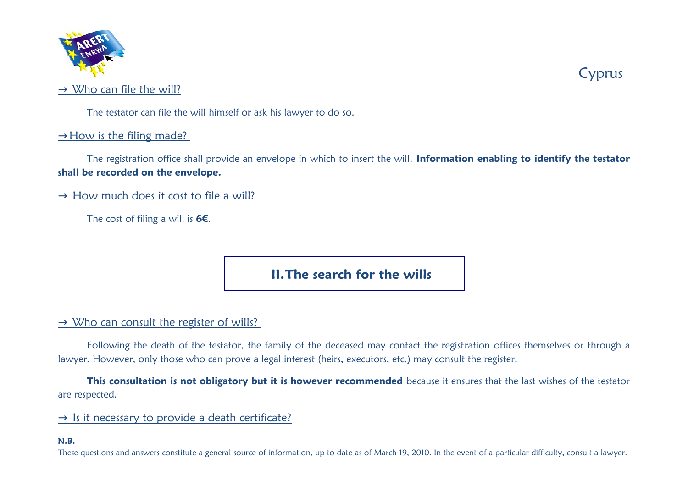

## **Cyprus**

## $\rightarrow$  Who can file the will?

The testator can file the will himself or ask his lawyer to do so.

#### $\rightarrow$  How is the filing made?

The registration office shall provide an envelope in which to insert the will. **Information enabling to identify the testator shall be recorded on the envelope.**

#### $\rightarrow$  How much does it cost to file a will?

The cost of filing a will is **6€**.

**II.The search for the wills**

#### $\rightarrow$  Who can consult the register of wills?

Following the death of the testator, the family of the deceased may contact the registration offices themselves or through a lawyer. However, only those who can prove a legal interest (heirs, executors, etc.) may consult the register.

**This consultation is not obligatory but it is however recommended** because it ensures that the last wishes of the testator are respected.

#### $\rightarrow$  Is it necessary to provide a death certificate?

#### **N.B.**

These questions and answers constitute a general source of information, up to date as of March 19, 2010. In the event of a particular difficulty, consult a lawyer.